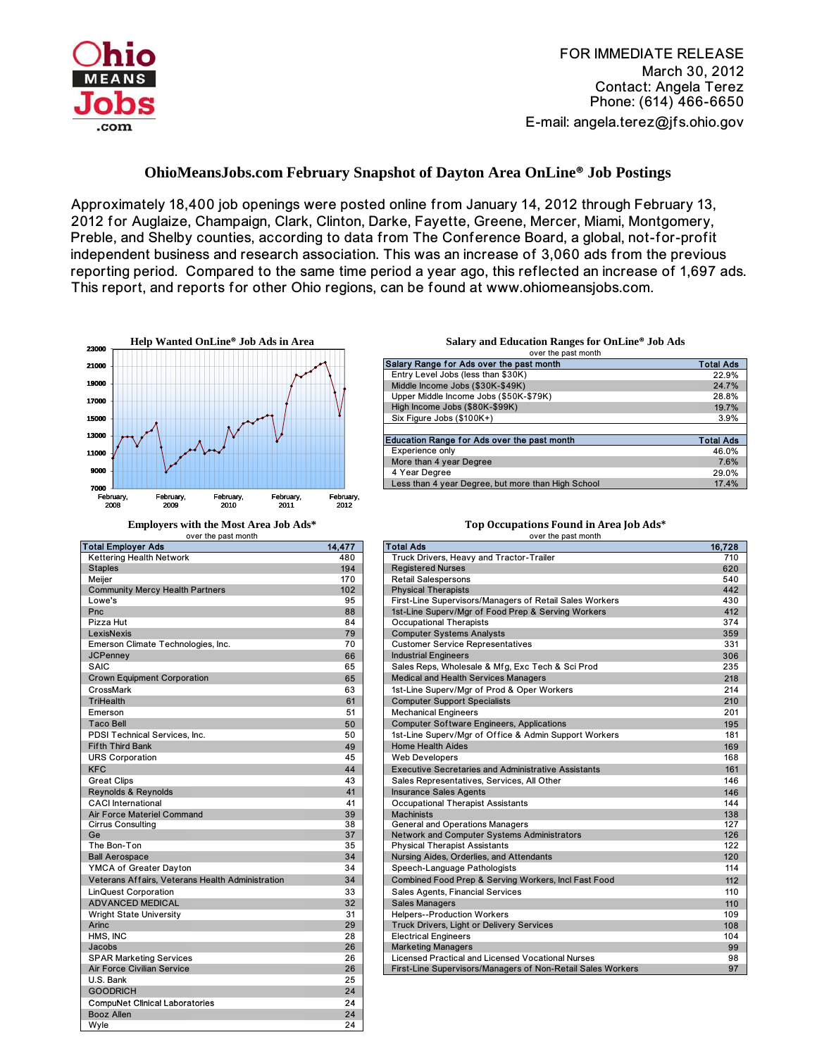

FOR IMMEDIATE RELEASE March 30, 2012 Contact: Angela Terez Phone: (614) 466-6650 E-mail: angela.terez@jfs.ohio.gov

## **OhioMeansJobs.com February Snapshot of Dayton Area OnLine® Job Postings**

Approximately 18,400 job openings were posted online from January 14, 2012 through February 13, 2012 for Auglaize, Champaign, Clark, Clinton, Darke, Fayette, Greene, Mercer, Miami, Montgomery, Preble, and Shelby counties, according to data from The Conference Board, a global, not-for-profit independent business and research association. This was an increase of 3,060 ads from the previous reporting period. Compared to the same time period a year ago, this reflected an increase of 1,697 ads. This report, and reports for other Ohio regions, can be found at www.ohiomeansjobs.com.



| <b>Total Employer Ads</b>                        | 14,477 |
|--------------------------------------------------|--------|
| Kettering Health Network                         | 480    |
| <b>Staples</b>                                   | 194    |
| Meijer                                           | 170    |
| <b>Community Mercy Health Partners</b>           | 102    |
| Lowe's                                           | 95     |
| Pnc                                              | 88     |
| Pizza Hut                                        | 84     |
| LexisNexis                                       | 79     |
| Emerson Climate Technologies, Inc.               | 70     |
| <b>JCPenney</b>                                  | 66     |
| SAIC                                             | 65     |
| <b>Crown Equipment Corporation</b>               | 65     |
| CrossMark                                        | 63     |
| <b>TriHealth</b>                                 | 61     |
| Emerson                                          | 51     |
| <b>Taco Bell</b>                                 | 50     |
| PDSI Technical Services, Inc.                    | 50     |
| <b>Fifth Third Bank</b>                          | 49     |
| <b>URS Corporation</b>                           | 45     |
| <b>KFC</b>                                       | 44     |
| <b>Great Clips</b>                               | 43     |
| Reynolds & Reynolds                              | 41     |
| <b>CACI</b> International                        | 41     |
| <b>Air Force Materiel Command</b>                | 39     |
| <b>Cirrus Consulting</b>                         | 38     |
| Ge                                               | 37     |
| The Bon-Ton                                      | 35     |
| <b>Ball Aerospace</b>                            | 34     |
| YMCA of Greater Dayton                           | 34     |
| Veterans Affairs, Veterans Health Administration | 34     |
| <b>LinQuest Corporation</b>                      | 33     |
| <b>ADVANCED MEDICAL</b>                          | 32     |
| <b>Wright State University</b>                   | 31     |
| Arinc                                            | 29     |
| HMS. INC                                         | 28     |
| Jacobs                                           | 26     |
| <b>SPAR Marketing Services</b>                   | 26     |
| Air Force Civilian Service                       | 26     |
| U.S. Bank                                        | 25     |
| <b>GOODRICH</b>                                  | 24     |
| <b>CompuNet Clinical Laboratories</b>            | 24     |
| <b>Booz Allen</b>                                | 24     |
| Wvle                                             | 24     |

**Help Wanted OnLine® Job Ads in Area Salary and Education Ranges for OnLine® Job Ads**

| Salary Range for Ads over the past month           | <b>Total Ads</b> |
|----------------------------------------------------|------------------|
| Entry Level Jobs (less than \$30K)                 | 22.9%            |
| Middle Income Jobs (\$30K-\$49K)                   | 24.7%            |
| Upper Middle Income Jobs (\$50K-\$79K)             | 28.8%            |
| High Income Jobs (\$80K-\$99K)                     | 19.7%            |
| Six Figure Jobs (\$100K+)                          | 3.9%             |
|                                                    |                  |
| <b>Education Range for Ads over the past month</b> | <b>Total Ads</b> |
| Experience only                                    | 46.0%            |
| More than 4 year Degree                            | 7.6%             |
| 4 Year Degree                                      | 29.0%            |
| Less than 4 year Degree, but more than High School | 17.4%            |

## over the past month over the past month over the past month

| Total Employer Ads                               | 14,477 | <b>Total Ads</b>                                            | 16,728 |
|--------------------------------------------------|--------|-------------------------------------------------------------|--------|
| Kettering Health Network                         | 480    | Truck Drivers, Heavy and Tractor-Trailer                    | 710    |
| <b>Staples</b>                                   | 194    | <b>Registered Nurses</b>                                    | 620    |
| Meijer                                           | 170    | <b>Retail Salespersons</b>                                  | 540    |
| <b>Community Mercy Health Partners</b>           | 102    | <b>Physical Therapists</b>                                  | 442    |
| Lowe's                                           | 95     | First-Line Supervisors/Managers of Retail Sales Workers     | 430    |
| Pnc                                              | 88     | 1st-Line Superv/Mgr of Food Prep & Serving Workers          | 412    |
| Pizza Hut                                        | 84     | <b>Occupational Therapists</b>                              | 374    |
| LexisNexis                                       | 79     | <b>Computer Systems Analysts</b>                            | 359    |
| Emerson Climate Technologies, Inc.               | 70     | <b>Customer Service Representatives</b>                     | 331    |
| <b>JCPenney</b>                                  | 66     | <b>Industrial Engineers</b>                                 | 306    |
| <b>SAIC</b>                                      | 65     | Sales Reps, Wholesale & Mfg, Exc Tech & Sci Prod            | 235    |
| <b>Crown Equipment Corporation</b>               | 65     | Medical and Health Services Managers                        | 218    |
| CrossMark                                        | 63     | 1st-Line Superv/Mgr of Prod & Oper Workers                  | 214    |
| <b>TriHealth</b>                                 | 61     | <b>Computer Support Specialists</b>                         | 210    |
| Emerson                                          | 51     | <b>Mechanical Engineers</b>                                 | 201    |
| <b>Taco Bell</b>                                 | 50     | <b>Computer Software Engineers, Applications</b>            | 195    |
| PDSI Technical Services, Inc.                    | 50     | 1st-Line Superv/Mgr of Office & Admin Support Workers       | 181    |
| <b>Fifth Third Bank</b>                          | 49     | <b>Home Health Aides</b>                                    | 169    |
| <b>URS Corporation</b>                           | 45     | <b>Web Developers</b>                                       | 168    |
| <b>KFC</b>                                       | 44     | <b>Executive Secretaries and Administrative Assistants</b>  | 161    |
| <b>Great Clips</b>                               | 43     | Sales Representatives, Services, All Other                  | 146    |
| Reynolds & Reynolds                              | 41     | <b>Insurance Sales Agents</b>                               | 146    |
| <b>CACI</b> International                        | 41     | <b>Occupational Therapist Assistants</b>                    | 144    |
| <b>Air Force Materiel Command</b>                | 39     | <b>Machinists</b>                                           | 138    |
| <b>Cirrus Consulting</b>                         | 38     | <b>General and Operations Managers</b>                      | 127    |
| Ge                                               | 37     | Network and Computer Systems Administrators                 | 126    |
| The Bon-Ton                                      | 35     | <b>Physical Therapist Assistants</b>                        | 122    |
| <b>Ball Aerospace</b>                            | 34     | Nursing Aides, Orderlies, and Attendants                    | 120    |
| YMCA of Greater Dayton                           | 34     | Speech-Language Pathologists                                | 114    |
| Veterans Affairs, Veterans Health Administration | 34     | Combined Food Prep & Serving Workers, Incl Fast Food        | 112    |
| <b>LinQuest Corporation</b>                      | 33     | Sales Agents, Financial Services                            | 110    |
| <b>ADVANCED MEDICAL</b>                          | 32     | <b>Sales Managers</b>                                       | 110    |
| <b>Wright State University</b>                   | 31     | <b>Helpers--Production Workers</b>                          | 109    |
| Arinc                                            | 29     | <b>Truck Drivers, Light or Delivery Services</b>            | 108    |
| HMS. INC                                         | 28     | <b>Electrical Engineers</b>                                 | 104    |
| Jacobs                                           | 26     | <b>Marketing Managers</b>                                   | 99     |
| <b>SPAR Marketing Services</b>                   | 26     | <b>Licensed Practical and Licensed Vocational Nurses</b>    | 98     |
| Air Force Civilian Service                       | 26     | First-Line Supervisors/Managers of Non-Retail Sales Workers | 97     |